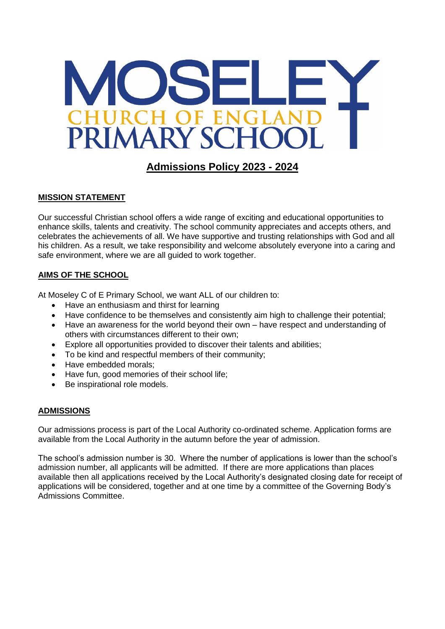

# **Admissions Policy 2023 - 2024**

## **MISSION STATEMENT**

Our successful Christian school offers a wide range of exciting and educational opportunities to enhance skills, talents and creativity. The school community appreciates and accepts others, and celebrates the achievements of all. We have supportive and trusting relationships with God and all his children. As a result, we take responsibility and welcome absolutely everyone into a caring and safe environment, where we are all guided to work together.

## **AIMS OF THE SCHOOL**

At Moseley C of E Primary School, we want ALL of our children to:

- Have an enthusiasm and thirst for learning
- Have confidence to be themselves and consistently aim high to challenge their potential;
- Have an awareness for the world beyond their own have respect and understanding of others with circumstances different to their own;
- Explore all opportunities provided to discover their talents and abilities;
- To be kind and respectful members of their community;
- Have embedded morals:
- Have fun, good memories of their school life;
- Be inspirational role models.

# **ADMISSIONS**

Our admissions process is part of the Local Authority co-ordinated scheme. Application forms are available from the Local Authority in the autumn before the year of admission.

The school's admission number is 30. Where the number of applications is lower than the school's admission number, all applicants will be admitted. If there are more applications than places available then all applications received by the Local Authority's designated closing date for receipt of applications will be considered, together and at one time by a committee of the Governing Body's Admissions Committee.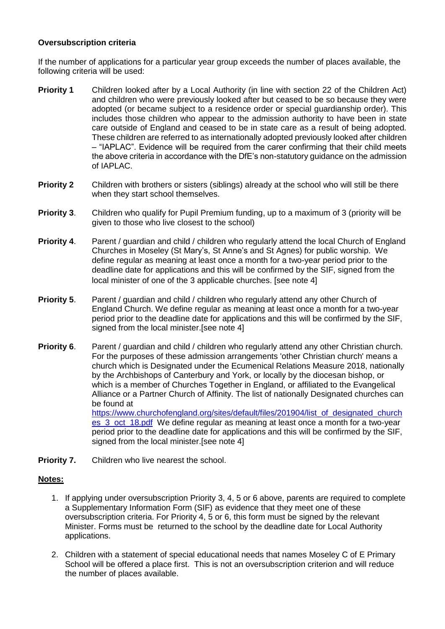#### **Oversubscription criteria**

If the number of applications for a particular year group exceeds the number of places available, the following criteria will be used:

- **Priority 1** Children looked after by a Local Authority (in line with section 22 of the Children Act) and children who were previously looked after but ceased to be so because they were adopted (or became subject to a residence order or special guardianship order). This includes those children who appear to the admission authority to have been in state care outside of England and ceased to be in state care as a result of being adopted. These children are referred to as internationally adopted previously looked after children – "IAPLAC". Evidence will be required from the carer confirming that their child meets the above criteria in accordance with the DfE's non-statutory guidance on the admission of IAPLAC.
- **Priority 2** Children with brothers or sisters (siblings) already at the school who will still be there when they start school themselves.
- **Priority 3.** Children who qualify for Pupil Premium funding, up to a maximum of 3 (priority will be given to those who live closest to the school)
- **Priority 4.** Parent / guardian and child / children who regularly attend the local Church of England Churches in Moseley (St Mary's, St Anne's and St Agnes) for public worship. We define regular as meaning at least once a month for a two-year period prior to the deadline date for applications and this will be confirmed by the SIF, signed from the local minister of one of the 3 applicable churches. [see note 4]
- **Priority 5.** Parent / guardian and child / children who regularly attend any other Church of England Church. We define regular as meaning at least once a month for a two-year period prior to the deadline date for applications and this will be confirmed by the SIF, signed from the local minister.[see note 4]
- **Priority 6.** Parent / guardian and child / children who regularly attend any other Christian church. For the purposes of these admission arrangements 'other Christian church' means a church which is Designated under the Ecumenical Relations Measure 2018, nationally by the Archbishops of Canterbury and York, or locally by the diocesan bishop, or which is a member of Churches Together in England, or affiliated to the Evangelical Alliance or a Partner Church of Affinity. The list of nationally Designated churches can be found at [https://www.churchofengland.org/sites/default/files/201904/list\\_of\\_designated\\_church](https://www.churchofengland.org/sites/default/files/201904/list_of_designated_churches_3_oct_18.pdf) es 3 oct 18.pdf We define regular as meaning at least once a month for a two-year period prior to the deadline date for applications and this will be confirmed by the SIF, signed from the local minister.[see note 4]
- **Priority 7.** Children who live nearest the school.

#### **Notes:**

- 1. If applying under oversubscription Priority 3, 4, 5 or 6 above, parents are required to complete a Supplementary Information Form (SIF) as evidence that they meet one of these oversubscription criteria. For Priority 4, 5 or 6, this form must be signed by the relevant Minister. Forms must be returned to the school by the deadline date for Local Authority applications.
- 2. Children with a statement of special educational needs that names Moseley C of E Primary School will be offered a place first. This is not an oversubscription criterion and will reduce the number of places available.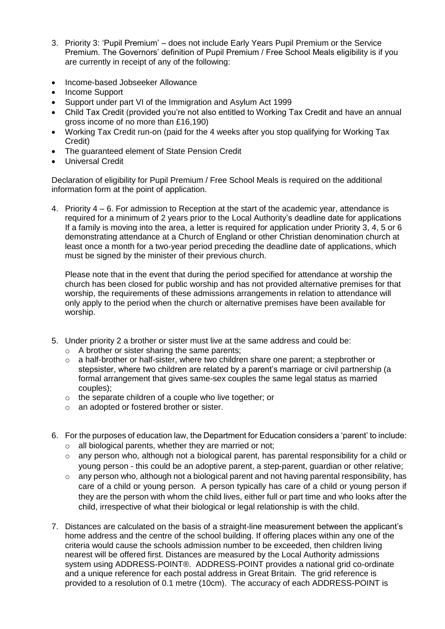- 3. Priority 3: 'Pupil Premium' does not include Early Years Pupil Premium or the Service Premium. The Governors' definition of Pupil Premium / Free School Meals eligibility is if you are currently in receipt of any of the following:
- Income-based Jobseeker Allowance
- Income Support
- Support under part VI of the Immigration and Asylum Act 1999
- Child Tax Credit (provided you're not also entitled to Working Tax Credit and have an annual gross income of no more than £16,190)
- Working Tax Credit run-on (paid for the 4 weeks after you stop qualifying for Working Tax Credit)
- The guaranteed element of State Pension Credit
- Universal Credit

Declaration of eligibility for Pupil Premium / Free School Meals is required on the additional information form at the point of application.

4. Priority 4 – 6. For admission to Reception at the start of the academic year, attendance is required for a minimum of 2 years prior to the Local Authority's deadline date for applications If a family is moving into the area, a letter is required for application under Priority 3, 4, 5 or 6 demonstrating attendance at a Church of England or other Christian denomination church at least once a month for a two-year period preceding the deadline date of applications, which must be signed by the minister of their previous church.

Please note that in the event that during the period specified for attendance at worship the church has been closed for public worship and has not provided alternative premises for that worship, the requirements of these admissions arrangements in relation to attendance will only apply to the period when the church or alternative premises have been available for worship.

- 5. Under priority 2 a brother or sister must live at the same address and could be:
	- o A brother or sister sharing the same parents;
	- $\circ$  a half-brother or half-sister, where two children share one parent; a stepbrother or stepsister, where two children are related by a parent's marriage or civil partnership (a formal arrangement that gives same-sex couples the same legal status as married couples);
	- o the separate children of a couple who live together; or
	- o an adopted or fostered brother or sister.
- 6. For the purposes of education law, the Department for Education considers a 'parent' to include:
	- o all biological parents, whether they are married or not;
	- o any person who, although not a biological parent, has parental responsibility for a child or young person - this could be an adoptive parent, a step-parent, guardian or other relative;
	- o any person who, although not a biological parent and not having parental responsibility, has care of a child or young person. A person typically has care of a child or young person if they are the person with whom the child lives, either full or part time and who looks after the child, irrespective of what their biological or legal relationship is with the child.
- 7. Distances are calculated on the basis of a straight-line measurement between the applicant's home address and the centre of the school building. If offering places within any one of the criteria would cause the schools admission number to be exceeded, then children living nearest will be offered first. Distances are measured by the Local Authority admissions system using ADDRESS-POINT®. ADDRESS-POINT provides a national grid co-ordinate and a unique reference for each postal address in Great Britain. The grid reference is provided to a resolution of 0.1 metre (10cm). The accuracy of each ADDRESS-POINT is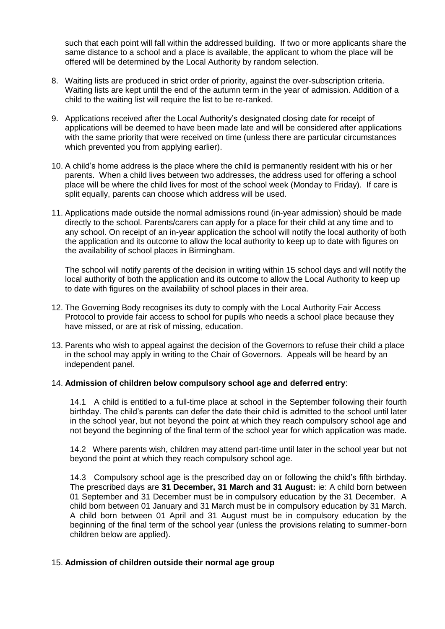such that each point will fall within the addressed building. If two or more applicants share the same distance to a school and a place is available, the applicant to whom the place will be offered will be determined by the Local Authority by random selection.

- 8. Waiting lists are produced in strict order of priority, against the over-subscription criteria. Waiting lists are kept until the end of the autumn term in the year of admission. Addition of a child to the waiting list will require the list to be re-ranked.
- 9. Applications received after the Local Authority's designated closing date for receipt of applications will be deemed to have been made late and will be considered after applications with the same priority that were received on time (unless there are particular circumstances which prevented you from applying earlier).
- 10. A child's home address is the place where the child is permanently resident with his or her parents. When a child lives between two addresses, the address used for offering a school place will be where the child lives for most of the school week (Monday to Friday). If care is split equally, parents can choose which address will be used.
- 11. Applications made outside the normal admissions round (in-year admission) should be made directly to the school. Parents/carers can apply for a place for their child at any time and to any school. On receipt of an in-year application the school will notify the local authority of both the application and its outcome to allow the local authority to keep up to date with figures on the availability of school places in Birmingham.

The school will notify parents of the decision in writing within 15 school days and will notify the local authority of both the application and its outcome to allow the Local Authority to keep up to date with figures on the availability of school places in their area.

- 12. The Governing Body recognises its duty to comply with the Local Authority Fair Access Protocol to provide fair access to school for pupils who needs a school place because they have missed, or are at risk of missing, education.
- 13. Parents who wish to appeal against the decision of the Governors to refuse their child a place in the school may apply in writing to the Chair of Governors. Appeals will be heard by an independent panel.

#### 14. **Admission of children below compulsory school age and deferred entry**:

14.1 A child is entitled to a full-time place at school in the September following their fourth birthday. The child's parents can defer the date their child is admitted to the school until later in the school year, but not beyond the point at which they reach compulsory school age and not beyond the beginning of the final term of the school year for which application was made.

14.2 Where parents wish, children may attend part-time until later in the school year but not beyond the point at which they reach compulsory school age.

14.3 Compulsory school age is the prescribed day on or following the child's fifth birthday. The prescribed days are **31 December, 31 March and 31 August:** ie: A child born between 01 September and 31 December must be in compulsory education by the 31 December. A child born between 01 January and 31 March must be in compulsory education by 31 March. A child born between 01 April and 31 August must be in compulsory education by the beginning of the final term of the school year (unless the provisions relating to summer-born children below are applied).

#### 15. **Admission of children outside their normal age group**